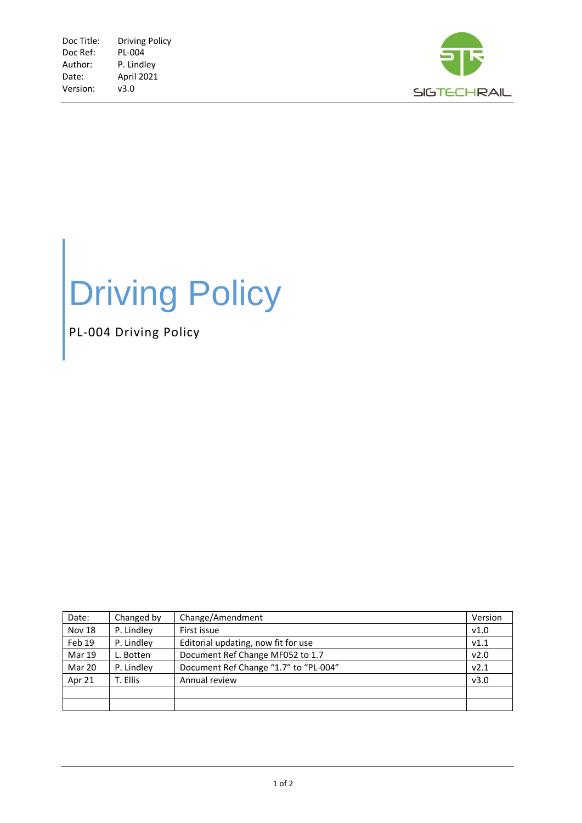

## Driving Policy

PL-004 Driving Policy

| Date:         | Changed by | Change/Amendment                      | Version          |
|---------------|------------|---------------------------------------|------------------|
| <b>Nov 18</b> | P. Lindley | First issue                           | V1.0             |
| Feb 19        | P. Lindley | Editorial updating, now fit for use   | V1.1             |
| <b>Mar 19</b> | L. Botten  | Document Ref Change MF052 to 1.7      | v2.0             |
| Mar 20        | P. Lindley | Document Ref Change "1.7" to "PL-004" | V <sub>2.1</sub> |
| Apr 21        | T. Ellis   | Annual review                         | v3.0             |
|               |            |                                       |                  |
|               |            |                                       |                  |